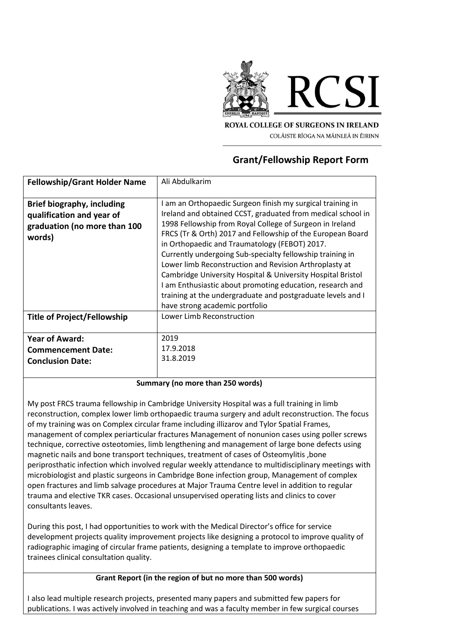

**ROYAL COLLEGE OF SURGEONS IN IRELAND** COLÁISTE RÍOGA NA MÁINLEÁ IN ÉIRINN

## **Grant/Fellowship Report Form**

| <b>Fellowship/Grant Holder Name</b>                                                                      | Ali Abdulkarim                                                                                                                                                                                                                                                                                                                                                                                                                                                                                                                                                                                                                                           |
|----------------------------------------------------------------------------------------------------------|----------------------------------------------------------------------------------------------------------------------------------------------------------------------------------------------------------------------------------------------------------------------------------------------------------------------------------------------------------------------------------------------------------------------------------------------------------------------------------------------------------------------------------------------------------------------------------------------------------------------------------------------------------|
| <b>Brief biography, including</b><br>qualification and year of<br>graduation (no more than 100<br>words) | I am an Orthopaedic Surgeon finish my surgical training in<br>Ireland and obtained CCST, graduated from medical school in<br>1998 Fellowship from Royal College of Surgeon in Ireland<br>FRCS (Tr & Orth) 2017 and Fellowship of the European Board<br>in Orthopaedic and Traumatology (FEBOT) 2017.<br>Currently undergoing Sub-specialty fellowship training in<br>Lower limb Reconstruction and Revision Arthroplasty at<br>Cambridge University Hospital & University Hospital Bristol<br>I am Enthusiastic about promoting education, research and<br>training at the undergraduate and postgraduate levels and I<br>have strong academic portfolio |
| <b>Title of Project/Fellowship</b>                                                                       | Lower Limb Reconstruction                                                                                                                                                                                                                                                                                                                                                                                                                                                                                                                                                                                                                                |
| <b>Year of Award:</b><br><b>Commencement Date:</b><br><b>Conclusion Date:</b>                            | 2019<br>17.9.2018<br>31.8.2019                                                                                                                                                                                                                                                                                                                                                                                                                                                                                                                                                                                                                           |

## **Summary (no more than 250 words)**

My post FRCS trauma fellowship in Cambridge University Hospital was a full training in limb reconstruction, complex lower limb orthopaedic trauma surgery and adult reconstruction. The focus of my training was on Complex circular frame including illizarov and Tylor Spatial Frames, management of complex periarticular fractures Management of nonunion cases using poller screws technique, corrective osteotomies, limb lengthening and management of large bone defects using magnetic nails and bone transport techniques, treatment of cases of Osteomylitis ,bone periprosthatic infection which involved regular weekly attendance to multidisciplinary meetings with microbiologist and plastic surgeons in Cambridge Bone infection group, Management of complex open fractures and limb salvage procedures at Major Trauma Centre level in addition to regular trauma and elective TKR cases. Occasional unsupervised operating lists and clinics to cover consultants leaves.

During this post, I had opportunities to work with the Medical Director's office for service development projects quality improvement projects like designing a protocol to improve quality of radiographic imaging of circular frame patients, designing a template to improve orthopaedic trainees clinical consultation quality.

## **Grant Report (in the region of but no more than 500 words)**

I also lead multiple research projects, presented many papers and submitted few papers for publications. I was actively involved in teaching and was a faculty member in few surgical courses